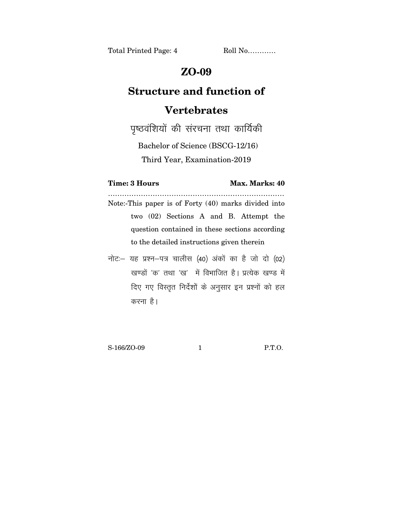Total Printed Page: 4 Roll No............

## **ZO-09**

## **Structure and function of Vertebrates**

पृष्ठवंशियों की संरचना तथा कार्यिकी

Bachelor of Science (BSCG-12/16)

Third Year, Examination-2019

## **Time: 3 Hours Max. Marks: 40**

………………………………………………………………… Note:-This paper is of Forty (40) marks divided into two (02) Sections A and B. Attempt the question contained in these sections according to the detailed instructions given therein

नोट: यह प्रश्न-पत्र चालीस (40) अंकों का है जो दो (02) खण्डों 'क' तथा 'ख' में विभाजित है। प्रत्येक खण्ड में दिए गए विस्तुत निर्देशों के अनुसार इन प्रश्नों को हल करना है।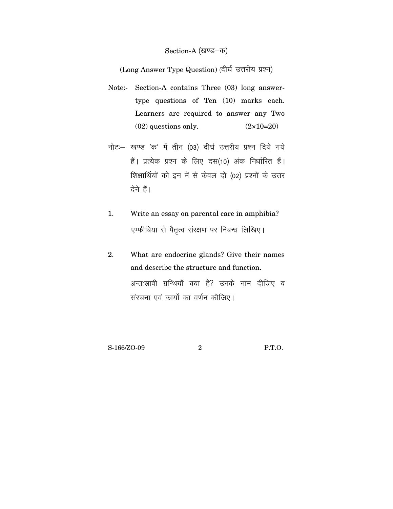## Section-A (खण्ड-क)

(Long Answer Type Question) (दीर्घ उत्तरीय प्रश्न)

- Note:- Section-A contains Three (03) long answertype questions of Ten (10) marks each. Learners are required to answer any Two  $(02)$  questions only.  $(2 \times 10=20)$
- नोट :- खण्ड 'क' में तीन (03) दीर्घ उत्तरीय प्रश्न दिये गये हैं। प्रत्येक प्रश्न के लिए दस(10) अंक निर्धारित हैं। शिक्षार्थियों को इन में से केवल दो (02) प्रश्नों के उत्तर देने हैं।
- Write an essay on parental care in amphibia?  $\mathbf{1}$ . एम्फीबिया से पैतृत्व संरक्षण पर निबन्ध लिखिए।
- What are endocrine glands? Give their names 2. and describe the structure and function. अन्तःस्रावी ग्रन्थियाँ क्या है? उनके नाम दीजिए व संरचना एवं कार्यों का वर्णन कीजिए।

 $P.T.O.$ 

 $\mathbf{2}$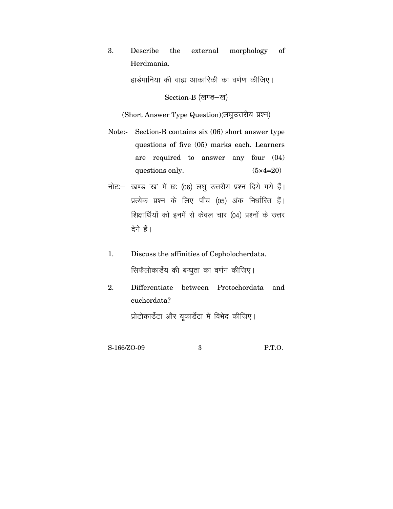3. Describe the external morphology of Herdmania.

हार्डमानिया की वाह्य आकारिकी का वर्णण कीजिए।

Section-B (खण्ड-ख)

(Short Answer Type Question) (लघुउत्तरीय प्रश्न)

- Note:- Section-B contains six (06) short answer type questions of five (05) marks each. Learners are required to answer any four (04) questions only.  $(5 \times 4=20)$
- नोट: खण्ड 'ख' में छ: (06) लघ उत्तरीय प्रश्न दिये गये हैं। प्रत्येक प्रश्न के लिए पाँच (05) अंक निर्धारित हैं। शिक्षार्थियों को इनमें से केवल चार (04) प्रश्नों के उत्तर देने हैं।
- 1. Discuss the affinities of Cepholocherdata. सिफेलोकार्डेय की बन्धुता का वर्णन कीजिए।
- 2. Differentiate between Protochordata and euchordata? प्रोटोकार्डेटा और युकार्डेटा में विभेद कीजिए।